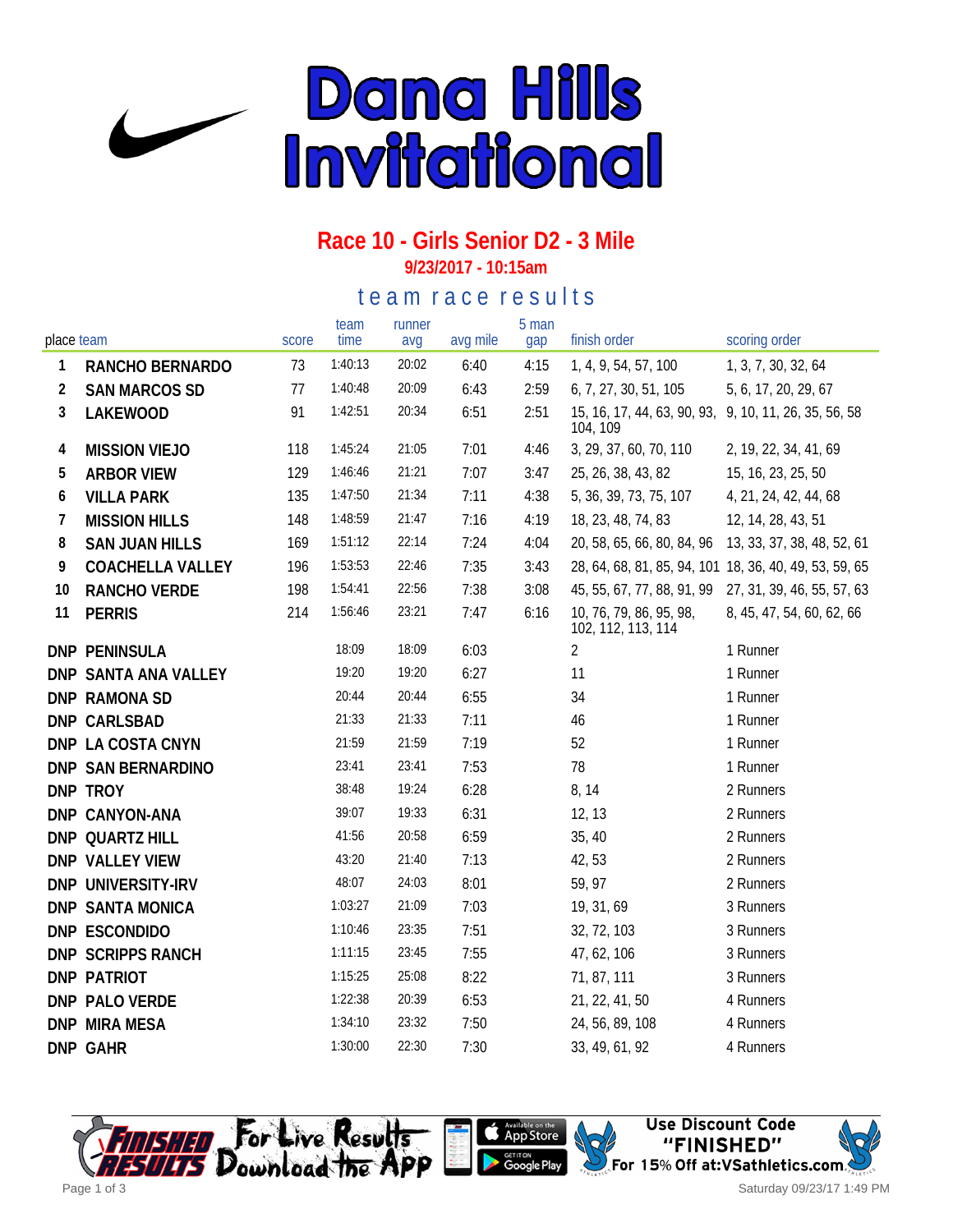

## **Race 10 - Girls Senior D2 - 3 Mile**

**9/23/2017 - 10:15am**

#### te a m r a c e r e s ults

| place team     |                         | score | team<br>time | runner<br>avg | avg mile | 5 man<br>gap | finish order                                                      | scoring order             |
|----------------|-------------------------|-------|--------------|---------------|----------|--------------|-------------------------------------------------------------------|---------------------------|
| 1              | RANCHO BERNARDO         | 73    | 1:40:13      | 20:02         | 6:40     | 4:15         | 1, 4, 9, 54, 57, 100                                              | 1, 3, 7, 30, 32, 64       |
| $\overline{2}$ | <b>SAN MARCOS SD</b>    | 77    | 1:40:48      | 20:09         | 6:43     | 2:59         | 6, 7, 27, 30, 51, 105                                             | 5, 6, 17, 20, 29, 67      |
| 3              | LAKEWOOD                | 91    | 1:42:51      | 20:34         | 6:51     | 2:51         | 15, 16, 17, 44, 63, 90, 93, 9, 10, 11, 26, 35, 56, 58<br>104, 109 |                           |
| 4              | <b>MISSION VIEJO</b>    | 118   | 1:45:24      | 21:05         | 7:01     | 4:46         | 3, 29, 37, 60, 70, 110                                            | 2, 19, 22, 34, 41, 69     |
| 5              | <b>ARBOR VIEW</b>       | 129   | 1:46:46      | 21:21         | 7:07     | 3:47         | 25, 26, 38, 43, 82                                                | 15, 16, 23, 25, 50        |
| 6              | <b>VILLA PARK</b>       | 135   | 1:47:50      | 21:34         | 7:11     | 4:38         | 5, 36, 39, 73, 75, 107                                            | 4, 21, 24, 42, 44, 68     |
| 7              | <b>MISSION HILLS</b>    | 148   | 1:48:59      | 21:47         | 7:16     | 4:19         | 18, 23, 48, 74, 83                                                | 12, 14, 28, 43, 51        |
| 8              | <b>SAN JUAN HILLS</b>   | 169   | 1:51:12      | 22:14         | 7:24     | 4:04         | 20, 58, 65, 66, 80, 84, 96 13, 33, 37, 38, 48, 52, 61             |                           |
| 9              | <b>COACHELLA VALLEY</b> | 196   | 1:53:53      | 22:46         | 7:35     | 3:43         | 28, 64, 68, 81, 85, 94, 101 18, 36, 40, 49, 53, 59, 65            |                           |
| 10             | RANCHO VERDE            | 198   | 1:54:41      | 22:56         | 7:38     | 3:08         | 45, 55, 67, 77, 88, 91, 99 27, 31, 39, 46, 55, 57, 63             |                           |
| 11             | <b>PERRIS</b>           | 214   | 1:56:46      | 23:21         | 7:47     | 6:16         | 10, 76, 79, 86, 95, 98,<br>102, 112, 113, 114                     | 8, 45, 47, 54, 60, 62, 66 |
|                | <b>DNP PENINSULA</b>    |       | 18:09        | 18:09         | 6:03     |              | $\overline{2}$                                                    | 1 Runner                  |
|                | DNP SANTA ANA VALLEY    |       | 19:20        | 19:20         | 6:27     |              | 11                                                                | 1 Runner                  |
|                | DNP RAMONA SD           |       | 20:44        | 20:44         | 6:55     |              | 34                                                                | 1 Runner                  |
|                | DNP CARLSBAD            |       | 21:33        | 21:33         | 7:11     |              | 46                                                                | 1 Runner                  |
|                | DNP LA COSTA CNYN       |       | 21:59        | 21:59         | 7:19     |              | 52                                                                | 1 Runner                  |
|                | DNP SAN BERNARDINO      |       | 23:41        | 23:41         | 7:53     |              | 78                                                                | 1 Runner                  |
|                | DNP TROY                |       | 38:48        | 19:24         | 6:28     |              | 8, 14                                                             | 2 Runners                 |
|                | DNP CANYON-ANA          |       | 39:07        | 19:33         | 6:31     |              | 12, 13                                                            | 2 Runners                 |
|                | DNP QUARTZ HILL         |       | 41:56        | 20:58         | 6:59     |              | 35, 40                                                            | 2 Runners                 |
|                | DNP VALLEY VIEW         |       | 43:20        | 21:40         | 7:13     |              | 42,53                                                             | 2 Runners                 |
|                | DNP UNIVERSITY-IRV      |       | 48:07        | 24:03         | 8:01     |              | 59, 97                                                            | 2 Runners                 |
|                | DNP SANTA MONICA        |       | 1:03:27      | 21:09         | 7:03     |              | 19, 31, 69                                                        | 3 Runners                 |
|                | DNP ESCONDIDO           |       | 1:10:46      | 23:35         | 7:51     |              | 32, 72, 103                                                       | 3 Runners                 |
|                | DNP SCRIPPS RANCH       |       | 1:11:15      | 23:45         | 7:55     |              | 47, 62, 106                                                       | 3 Runners                 |
|                | DNP PATRIOT             |       | 1:15:25      | 25:08         | 8:22     |              | 71, 87, 111                                                       | 3 Runners                 |
|                | DNP PALO VERDE          |       | 1:22:38      | 20:39         | 6:53     |              | 21, 22, 41, 50                                                    | 4 Runners                 |
|                | <b>DNP MIRA MESA</b>    |       | 1:34:10      | 23:32         | 7:50     |              | 24, 56, 89, 108                                                   | 4 Runners                 |
|                | DNP GAHR                |       | 1:30:00      | 22:30         | 7:30     |              | 33, 49, 61, 92                                                    | 4 Runners                 |





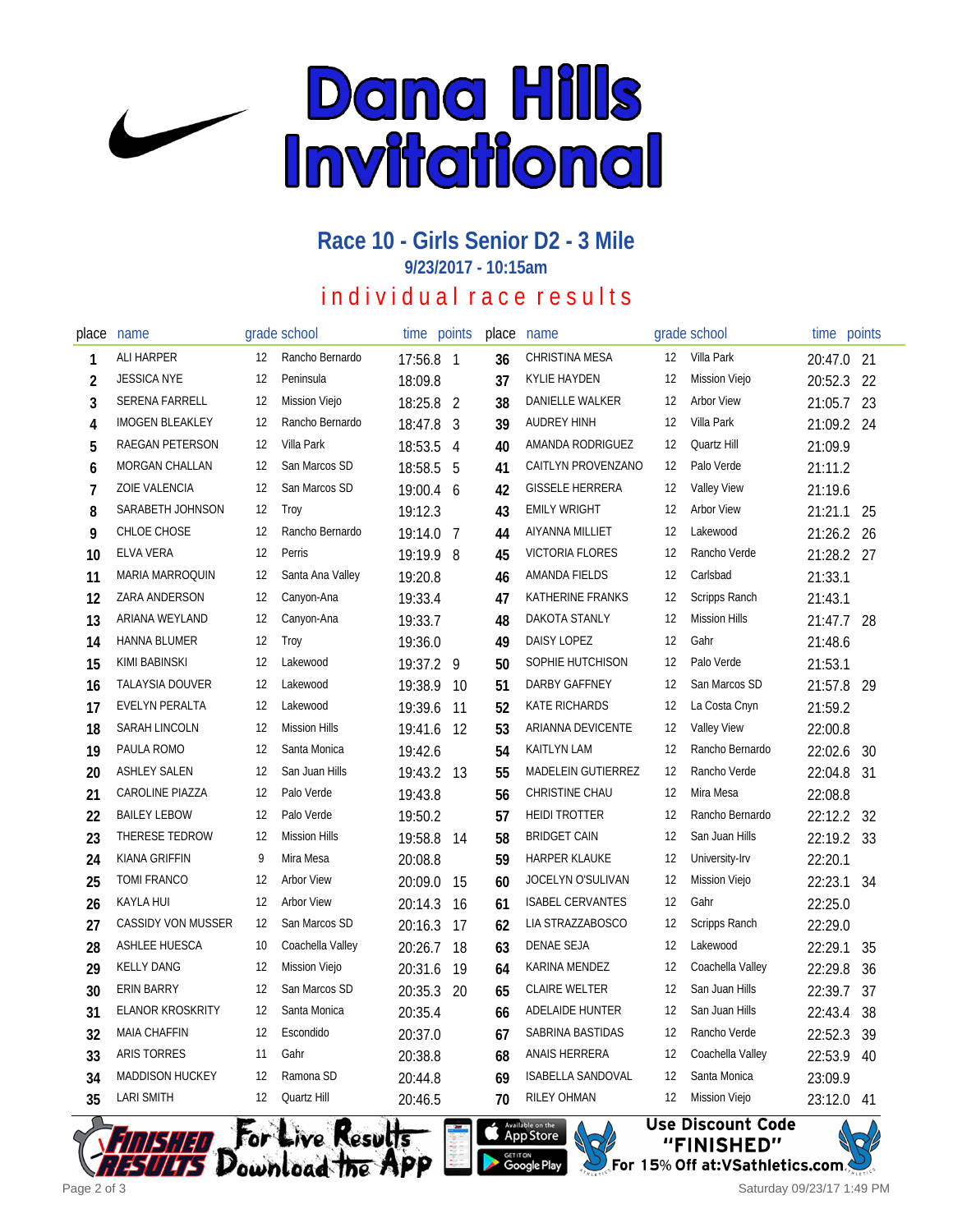

# **Race 10 - Girls Senior D2 - 3 Mile**

**9/23/2017 - 10:15am**

### individual race results

| place          | name                    |    | grade school         | time       | points         | place | name                     |    | grade school         | time points |     |
|----------------|-------------------------|----|----------------------|------------|----------------|-------|--------------------------|----|----------------------|-------------|-----|
| 1              | ALI HARPER              | 12 | Rancho Bernardo      | 17:56.8 1  |                | 36    | <b>CHRISTINA MESA</b>    | 12 | Villa Park           | 20:47.0 21  |     |
| 2              | <b>JESSICA NYE</b>      | 12 | Peninsula            | 18:09.8    |                | 37    | <b>KYLIE HAYDEN</b>      | 12 | Mission Viejo        | 20:52.3     | 22  |
| 3              | <b>SERENA FARRELL</b>   | 12 | Mission Viejo        | 18:25.8    | $\overline{2}$ | 38    | DANIELLE WALKER          | 12 | <b>Arbor View</b>    | 21:05.7     | 23  |
| 4              | <b>IMOGEN BLEAKLEY</b>  | 12 | Rancho Bernardo      | 18:47.8    | 3              | 39    | <b>AUDREY HINH</b>       | 12 | Villa Park           | 21:09.2 24  |     |
| 5              | RAEGAN PETERSON         | 12 | Villa Park           | 18:53.5    | 4              | 40    | AMANDA RODRIGUEZ         | 12 | Quartz Hill          | 21:09.9     |     |
| 6              | MORGAN CHALLAN          | 12 | San Marcos SD        | 18:58.5    | 5              | 41    | CAITLYN PROVENZANO       | 12 | Palo Verde           | 21:11.2     |     |
| $\overline{1}$ | ZOIE VALENCIA           | 12 | San Marcos SD        | 19:00.4 6  |                | 42    | <b>GISSELE HERRERA</b>   | 12 | <b>Valley View</b>   | 21:19.6     |     |
| 8              | SARABETH JOHNSON        | 12 | Troy                 | 19:12.3    |                | 43    | <b>EMILY WRIGHT</b>      | 12 | <b>Arbor View</b>    | 21:21.1     | 25  |
| 9              | CHLOE CHOSE             | 12 | Rancho Bernardo      | 19:14.0    | 7              | 44    | AIYANNA MILLIET          | 12 | Lakewood             | 21:26.2     | -26 |
| 10             | ELVA VERA               | 12 | Perris               | 19:19.9 8  |                | 45    | <b>VICTORIA FLORES</b>   | 12 | Rancho Verde         | 21:28.2 27  |     |
| 11             | MARIA MARROQUIN         | 12 | Santa Ana Valley     | 19:20.8    |                | 46    | AMANDA FIELDS            | 12 | Carlsbad             | 21:33.1     |     |
| 12             | ZARA ANDERSON           | 12 | Canyon-Ana           | 19:33.4    |                | 47    | KATHERINE FRANKS         | 12 | Scripps Ranch        | 21:43.1     |     |
| 13             | ARIANA WEYLAND          | 12 | Canyon-Ana           | 19:33.7    |                | 48    | DAKOTA STANLY            | 12 | <b>Mission Hills</b> | 21:47.7     | 28  |
| 14             | <b>HANNA BLUMER</b>     | 12 | Troy                 | 19:36.0    |                | 49    | DAISY LOPEZ              | 12 | Gahr                 | 21:48.6     |     |
| 15             | KIMI BABINSKI           | 12 | Lakewood             | 19:37.2 9  |                | 50    | SOPHIE HUTCHISON         | 12 | Palo Verde           | 21:53.1     |     |
| 16             | <b>TALAYSIA DOUVER</b>  | 12 | Lakewood             | 19:38.9    | 10             | 51    | DARBY GAFFNEY            | 12 | San Marcos SD        | 21:57.8     | 29  |
| 17             | EVELYN PERALTA          | 12 | Lakewood             | 19:39.6    | 11             | 52    | <b>KATE RICHARDS</b>     | 12 | La Costa Cnyn        | 21:59.2     |     |
| 18             | SARAH LINCOLN           | 12 | <b>Mission Hills</b> | 19:41.6    | 12             | 53    | ARIANNA DEVICENTE        | 12 | <b>Valley View</b>   | 22:00.8     |     |
| 19             | PAULA ROMO              | 12 | Santa Monica         | 19:42.6    |                | 54    | <b>KAITLYN LAM</b>       | 12 | Rancho Bernardo      | 22:02.6     | 30  |
| 20             | <b>ASHLEY SALEN</b>     | 12 | San Juan Hills       | 19:43.2 13 |                | 55    | MADELEIN GUTIERREZ       | 12 | Rancho Verde         | 22:04.8     | 31  |
| 21             | <b>CAROLINE PIAZZA</b>  | 12 | Palo Verde           | 19:43.8    |                | 56    | CHRISTINE CHAU           | 12 | Mira Mesa            | 22:08.8     |     |
| 22             | <b>BAILEY LEBOW</b>     | 12 | Palo Verde           | 19:50.2    |                | 57    | <b>HEIDI TROTTER</b>     | 12 | Rancho Bernardo      | 22:12.2     | 32  |
| 23             | THERESE TEDROW          | 12 | <b>Mission Hills</b> | 19:58.8    | 14             | 58    | <b>BRIDGET CAIN</b>      | 12 | San Juan Hills       | 22:19.2 33  |     |
| 24             | KIANA GRIFFIN           | 9  | Mira Mesa            | 20:08.8    |                | 59    | <b>HARPER KLAUKE</b>     | 12 | University-Irv       | 22:20.1     |     |
| 25             | <b>TOMI FRANCO</b>      | 12 | <b>Arbor View</b>    | 20:09.0    | 15             | 60    | JOCELYN O'SULIVAN        | 12 | Mission Viejo        | 22:23.1     | 34  |
| 26             | KAYLA HUI               | 12 | <b>Arbor View</b>    | 20:14.3    | 16             | 61    | <b>ISABEL CERVANTES</b>  | 12 | Gahr                 | 22:25.0     |     |
| 27             | CASSIDY VON MUSSER      | 12 | San Marcos SD        | 20:16.3    | 17             | 62    | LIA STRAZZABOSCO         | 12 | Scripps Ranch        | 22:29.0     |     |
| 28             | ASHLEE HUESCA           | 10 | Coachella Valley     | 20:26.7    | 18             | 63    | <b>DENAE SEJA</b>        | 12 | Lakewood             | 22:29.1     | 35  |
| 29             | <b>KELLY DANG</b>       | 12 | <b>Mission Viejo</b> | 20:31.6    | 19             | 64    | KARINA MENDEZ            | 12 | Coachella Valley     | 22:29.8     | 36  |
| 30             | ERIN BARRY              | 12 | San Marcos SD        | 20:35.3    | 20             | 65    | <b>CLAIRE WELTER</b>     | 12 | San Juan Hills       | 22:39.7     | 37  |
| 31             | <b>ELANOR KROSKRITY</b> | 12 | Santa Monica         | 20:35.4    |                | 66    | ADELAIDE HUNTER          | 12 | San Juan Hills       | 22:43.4     | 38  |
| 32             | <b>MAIA CHAFFIN</b>     | 12 | Escondido            | 20:37.0    |                | 67    | SABRINA BASTIDAS         | 12 | Rancho Verde         | 22:52.3     | 39  |
| 33             | <b>ARIS TORRES</b>      | 11 | Gahr                 | 20:38.8    |                | 68    | ANAIS HERRERA            | 12 | Coachella Valley     | 22:53.9     | 40  |
| 34             | <b>MADDISON HUCKEY</b>  | 12 | Ramona SD            | 20:44.8    |                | 69    | <b>ISABELLA SANDOVAL</b> | 12 | Santa Monica         | 23:09.9     |     |
| 35             | <b>LARI SMITH</b>       | 12 | Quartz Hill          | 20:46.5    |                | 70    | <b>RILEY OHMAN</b>       | 12 | Mission Viejo        | 23:12.0     | -41 |